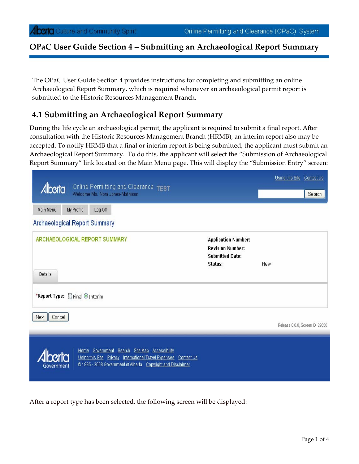#### **OPaC User Guide Section 4 – Submitting an Archaeological Report Summary**

The OPaC User Guide Section 4 provides instructions for completing and submitting an online Archaeological Report Summary, which is required whenever an archaeological permit report is submitted to the Historic Resources Management Branch.

#### **4.1 Submitting an Archaeological Report Summary**

During the life cycle an archaeological permit, the applicant is required to submit a final report. After consultation with the Historic Resources Management Branch (HRMB), an interim report also may be accepted. To notify HRMB that a final or interim report is being submitted, the applicant must submit an Archaeological Report Summary. To do this, the applicant will select the "Submission of Archaeological Report Summary" link located on the Main Menu page. This will display the "Submission Entry" screen:

| <b>Alberta</b><br>Online Permitting and Clearance TEST<br>Welcome Ms. Nora Jones-Mathison                                                                                                              |                                                                                            |            | Using this Site Contact Us<br>Search |
|--------------------------------------------------------------------------------------------------------------------------------------------------------------------------------------------------------|--------------------------------------------------------------------------------------------|------------|--------------------------------------|
| Main Menu<br>My Profile<br>Log Off                                                                                                                                                                     |                                                                                            |            |                                      |
| <b>Archaeological Report Summary</b>                                                                                                                                                                   |                                                                                            |            |                                      |
| ARCHAEOLOGICAL REPORT SUMMARY                                                                                                                                                                          | <b>Application Number:</b><br><b>Revision Number:</b><br><b>Submitted Date:</b><br>Status: | <b>New</b> |                                      |
| Details<br>*Report Type: CFinal O Interim<br>Next<br>Cancel                                                                                                                                            |                                                                                            |            |                                      |
|                                                                                                                                                                                                        |                                                                                            |            | Release 0.0.0, Screen ID: 29650      |
| Home Government Search Site Map Accessibility<br>bert<br>Using this Site Privacy International Travel Expenses Contact Us<br>@1995 - 2008 Government of Alberta Copyright and Disclaimer<br>Government |                                                                                            |            |                                      |

After a report type has been selected, the following screen will be displayed: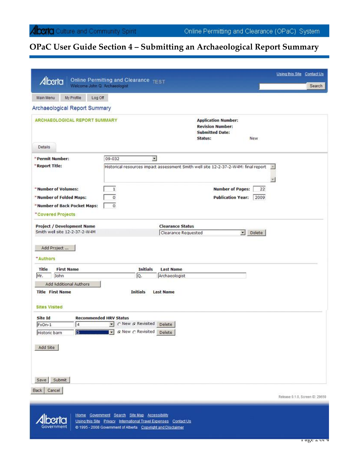# **OPaC User Guide Section 4 – Submitting an Archaeological Report Summary**

|                                                                           | Using this Site Contact Us<br>Online Permitting and Clearance TEST                                                                                              |        |
|---------------------------------------------------------------------------|-----------------------------------------------------------------------------------------------------------------------------------------------------------------|--------|
| Alberta<br>Welcome John Q. Archaeologist                                  |                                                                                                                                                                 | Search |
| Main Menu<br>My Profile<br>Log Off                                        |                                                                                                                                                                 |        |
| Archaeological Report Summary                                             |                                                                                                                                                                 |        |
| <b>ARCHAEOLOGICAL REPORT SUMMARY</b>                                      | <b>Application Number:</b><br><b>Revision Number:</b><br><b>Submitted Date:</b><br>Status:<br>New                                                               |        |
| Details                                                                   |                                                                                                                                                                 |        |
| *Permit Number:<br>"Report Title:                                         | $\overline{\mathbf{r}}$<br>09-032<br>Historical resources impact assessment Smith well site 12-2-37-2-W4M: final report<br>$\left\vert \mathbf{a}\right\rangle$ |        |
| *Number of Volumes:<br>* Number of Folded Maps:                           | <b>Number of Pages:</b><br>1<br>22<br>$\circ$<br><b>Publication Year:</b>                                                                                       |        |
| *Number of Back Pocket Maps:<br>"Covered Projects                         | 2009<br>$\circ$                                                                                                                                                 |        |
| <b>Project / Development Name</b>                                         | <b>Clearance Status</b>                                                                                                                                         |        |
| Smith well site 12-2-37-2-W4M                                             | Delete<br>Clearance Requested                                                                                                                                   |        |
| Add Project<br>*Authors                                                   |                                                                                                                                                                 |        |
| Title<br><b>First Name</b>                                                | <b>Initials</b><br><b>Last Name</b>                                                                                                                             |        |
| John<br>Mr.                                                               | Q.<br>Archaeologist                                                                                                                                             |        |
| Add Additional Authors<br><b>Title First Name</b><br><b>Sites Visited</b> | <b>Initials</b><br><b>Last Name</b>                                                                                                                             |        |
|                                                                           |                                                                                                                                                                 |        |
| Site Id<br>4<br>FxOn-1                                                    | <b>Recommended HRV Status</b><br>T C New C Revisited Delete                                                                                                     |        |
| Historic barn                                                             | S Delete                                                                                                                                                        |        |
|                                                                           |                                                                                                                                                                 |        |
| Add Site                                                                  |                                                                                                                                                                 |        |
|                                                                           |                                                                                                                                                                 |        |
| Submit<br>Save                                                            |                                                                                                                                                                 |        |
| Cancel<br>Back                                                            | Release 0.1.0, Screen ID: 29650                                                                                                                                 |        |

**Alberta** Government

Home Government Search Site Map Accessibility Using this Site Privacy International Travel Expenses Contact Us @ 1995 - 2008 Government of Alberta Copyright and Disclaimer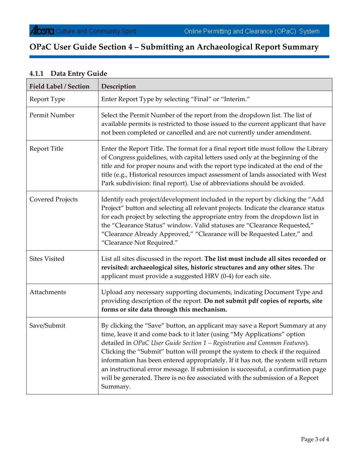# **OPaC User Guide Section 4 – Submitting an Archaeological Report Summary**

| <b>Field Label / Section</b> | Description                                                                                                                                                                                                                                                                                                                                                                                                                                                                                                                                                                                  |  |
|------------------------------|----------------------------------------------------------------------------------------------------------------------------------------------------------------------------------------------------------------------------------------------------------------------------------------------------------------------------------------------------------------------------------------------------------------------------------------------------------------------------------------------------------------------------------------------------------------------------------------------|--|
| Report Type                  | Enter Report Type by selecting "Final" or "Interim."                                                                                                                                                                                                                                                                                                                                                                                                                                                                                                                                         |  |
| Permit Number                | Select the Permit Number of the report from the dropdown list. The list of<br>available permits is restricted to those issued to the current applicant that have<br>not been completed or cancelled and are not currently under amendment.                                                                                                                                                                                                                                                                                                                                                   |  |
| <b>Report Title</b>          | Enter the Report Title. The format for a final report title must follow the Library<br>of Congress guidelines, with capital letters used only at the beginning of the<br>title and for proper nouns and with the report type indicated at the end of the<br>title (e.g., Historical resources impact assessment of lands associated with West<br>Park subdivision: final report). Use of abbreviations should be avoided.                                                                                                                                                                    |  |
| <b>Covered Projects</b>      | Identify each project/development included in the report by clicking the "Add<br>Project" button and selecting all relevant projects. Indicate the clearance status<br>for each project by selecting the appropriate entry from the dropdown list in<br>the "Clearance Status" window. Valid statuses are "Clearance Requested,"<br>"Clearance Already Approved," "Clearance will be Requested Later," and<br>"Clearance Not Required."                                                                                                                                                      |  |
| <b>Sites Visited</b>         | List all sites discussed in the report. The list must include all sites recorded or<br>revisited: archaeological sites, historic structures and any other sites. The<br>applicant must provide a suggested HRV (0-4) for each site.                                                                                                                                                                                                                                                                                                                                                          |  |
| Attachments                  | Upload any necessary supporting documents, indicating Document Type and<br>providing description of the report. Do not submit pdf copies of reports, site<br>forms or site data through this mechanism.                                                                                                                                                                                                                                                                                                                                                                                      |  |
| Save/Submit                  | By clicking the "Save" button, an applicant may save a Report Summary at any<br>time, leave it and come back to it later (using "My Applications" option<br>detailed in OPaC User Guide Section 1 - Registration and Common Features).<br>Clicking the "Submit" button will prompt the system to check if the required<br>information has been entered appropriately. If it has not, the system will return<br>an instructional error message. If submission is successful, a confirmation page<br>will be generated. There is no fee associated with the submission of a Report<br>Summary. |  |

### **4.1.1 Data Entry Guide**